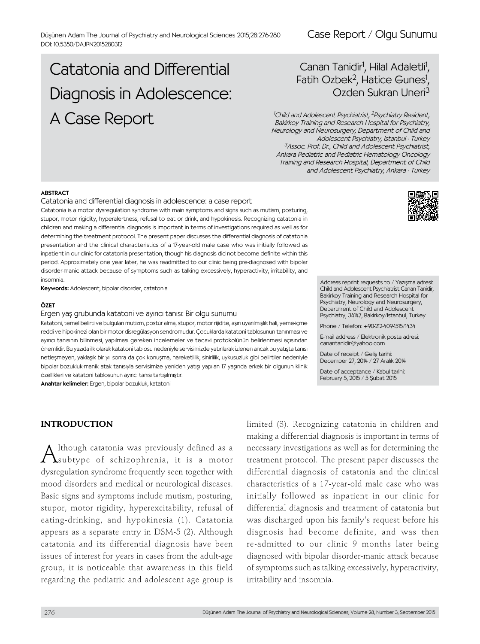## Case Report / Olgu Sunumu

# Catatonia and Differential Diagnosis in Adolescence: A Case Report

## Canan Tanidir<sup>1</sup>, Hilal Adaletli<sup>1</sup>  $\overline{\ }$ Fatih Ozbek<sup>2</sup>, Hatice Gunes<sup>1</sup>, Ozden Sukran Uneri<sup>3</sup>

<sup>1</sup>Child and Adolescent Psychiatrist, <sup>2</sup>Psychiatry Resident, Bakirkoy Training and Research Hospital for Psychiatry, Neurology and Neurosurgery, Department of Child and Adolescent Psychiatry, Istanbul - Turkey 3 Assoc. Prof. Dr., Child and Adolescent Psychiatrist, Ankara Pediatric and Pediatric Hematology Oncology Training and Research Hospital, Department of Child and Adolescent Psychiatry, Ankara - Turkey

#### ABSTRACT

#### Catatonia and differential diagnosis in adolescence: a case report

Catatonia is a motor dysregulation syndrome with main symptoms and signs such as mutism, posturing, stupor, motor rigidity, hyperalertness, refusal to eat or drink, and hypokinesis. Recognizing catatonia in children and making a differential diagnosis is important in terms of investigations required as well as for determining the treatment protocol. The present paper discusses the differential diagnosis of catatonia presentation and the clinical characteristics of a 17-year-old male case who was initially followed as inpatient in our clinic for catatonia presentation, though his diagnosis did not become definite within this period. Approximately one year later, he was readmitted to our clinic being pre-diagnosed with bipolar disorder-manic attack because of symptoms such as talking excessively, hyperactivity, irritability, and insomnia.

Keywords: Adolescent, bipolar disorder, catatonia

#### ÖZET

Ergen yaş grubunda katatoni ve ayırıcı tanısı: Bir olgu sunumu

Katatoni, temel belirti ve bulguları mutizm, postür alma, stupor, motor rijidite, aşırı uyarılmışlık hali, yeme-içme reddi ve hipokinezi olan bir motor disregülasyon sendromudur. Çocuklarda katatoni tablosunun tanınması ve ayırıcı tanısının bilinmesi, yapılması gereken incelemeler ve tedavi protokolünün belirlenmesi açısından önemlidir. Bu yazıda ilk olarak katatoni tablosu nedeniyle servisimizde yatırılarak izlenen ancak bu yatışta tanısı netleşmeyen, yaklaşık bir yıl sonra da çok konuşma, hareketlilik, sinirlilik, uykusuzluk gibi belirtiler nedeniyle bipolar bozukluk-manik atak tanısıyla servisimize yeniden yatışı yapılan 17 yaşında erkek bir olgunun klinik özellikleri ve katatoni tablosunun ayırıcı tanısı tartışılmıştır.

Anahtar kelimeler: Ergen, bipolar bozukluk, katatoni



 $\bigwedge$ Ithough catatonia was previously defined as a<br>Subtype of schizophrenia, it is a motor dysregulation syndrome frequently seen together with mood disorders and medical or neurological diseases. Basic signs and symptoms include mutism, posturing, stupor, motor rigidity, hyperexcitability, refusal of eating-drinking, and hypokinesia (1). Catatonia appears as a separate entry in DSM-5 (2). Although catatonia and its differential diagnosis have been issues of interest for years in cases from the adult-age group, it is noticeable that awareness in this field regarding the pediatric and adolescent age group is

limited (3). Recognizing catatonia in children and making a differential diagnosis is important in terms of necessary investigations as well as for determining the treatment protocol. The present paper discusses the differential diagnosis of catatonia and the clinical characteristics of a 17-year-old male case who was initially followed as inpatient in our clinic for differential diagnosis and treatment of catatonia but was discharged upon his family's request before his diagnosis had become definite, and was then re-admitted to our clinic 9 months later being diagnosed with bipolar disorder-manic attack because of symptoms such as talking excessively, hyperactivity, irritability and insomnia.



Address reprint requests to / Yazışma adresi: Child and Adolescent Psychiatrist Canan Tanidir, Bakirkoy Training and Research Hospital for Psychiatry, Neurology and Neurosurgery, Department of Child and Adolescent Psychiatry, 34147, Bakirkoy/Istanbul, Turkey

Phone / Telefon: +90-212-409-1515/1434

E-mail address / Elektronik posta adresi: canantanidir@yahoo.com

Date of receipt / Geliş tarihi: December 27, 2014 / 27 Aralık 2014

Date of acceptance / Kabul tarihi: February 5, 2015 / 5 Şubat 2015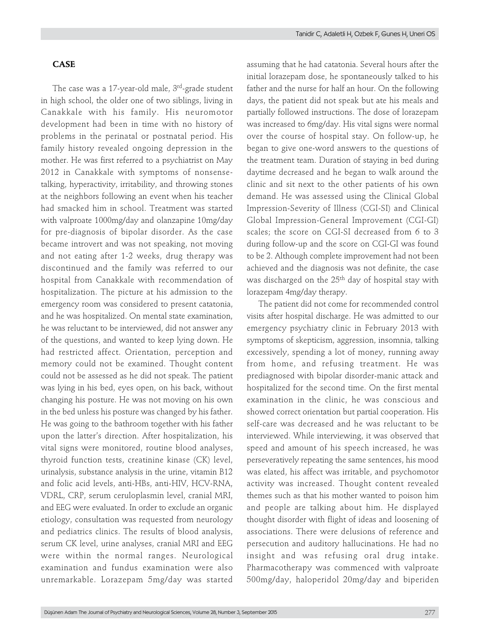The case was a 17-year-old male, 3<sup>rd</sup>-grade student in high school, the older one of two siblings, living in Canakkale with his family. His neuromotor development had been in time with no history of problems in the perinatal or postnatal period. His family history revealed ongoing depression in the mother. He was first referred to a psychiatrist on May 2012 in Canakkale with symptoms of nonsensetalking, hyperactivity, irritability, and throwing stones at the neighbors following an event when his teacher had smacked him in school. Treatment was started with valproate 1000mg/day and olanzapine 10mg/day for pre-diagnosis of bipolar disorder. As the case became introvert and was not speaking, not moving and not eating after 1-2 weeks, drug therapy was discontinued and the family was referred to our hospital from Canakkale with recommendation of hospitalization. The picture at his admission to the emergency room was considered to present catatonia, and he was hospitalized. On mental state examination, he was reluctant to be interviewed, did not answer any of the questions, and wanted to keep lying down. He had restricted affect. Orientation, perception and memory could not be examined. Thought content could not be assessed as he did not speak. The patient was lying in his bed, eyes open, on his back, without changing his posture. He was not moving on his own in the bed unless his posture was changed by his father. He was going to the bathroom together with his father upon the latter's direction. After hospitalization, his vital signs were monitored, routine blood analyses, thyroid function tests, creatinine kinase (CK) level, urinalysis, substance analysis in the urine, vitamin B12 and folic acid levels, anti-HBs, anti-HIV, HCV-RNA, VDRL, CRP, serum ceruloplasmin level, cranial MRI, and EEG were evaluated. In order to exclude an organic etiology, consultation was requested from neurology and pediatrics clinics. The results of blood analysis, serum CK level, urine analyses, cranial MRI and EEG were within the normal ranges. Neurological examination and fundus examination were also unremarkable. Lorazepam 5mg/day was started

assuming that he had catatonia. Several hours after the initial lorazepam dose, he spontaneously talked to his father and the nurse for half an hour. On the following days, the patient did not speak but ate his meals and partially followed instructions. The dose of lorazepam was increased to 6mg/day. His vital signs were normal over the course of hospital stay. On follow-up, he began to give one-word answers to the questions of the treatment team. Duration of staying in bed during daytime decreased and he began to walk around the clinic and sit next to the other patients of his own demand. He was assessed using the Clinical Global Impression-Severity of Illness (CGI-SI) and Clinical Global Impression-General Improvement (CGI-GI) scales; the score on CGI-SI decreased from 6 to 3 during follow-up and the score on CGI-GI was found to be 2. Although complete improvement had not been achieved and the diagnosis was not definite, the case was discharged on the 25<sup>th</sup> day of hospital stay with lorazepam 4mg/day therapy.

The patient did not come for recommended control visits after hospital discharge. He was admitted to our emergency psychiatry clinic in February 2013 with symptoms of skepticism, aggression, insomnia, talking excessively, spending a lot of money, running away from home, and refusing treatment. He was prediagnosed with bipolar disorder-manic attack and hospitalized for the second time. On the first mental examination in the clinic, he was conscious and showed correct orientation but partial cooperation. His self-care was decreased and he was reluctant to be interviewed. While interviewing, it was observed that speed and amount of his speech increased, he was perseveratively repeating the same sentences, his mood was elated, his affect was irritable, and psychomotor activity was increased. Thought content revealed themes such as that his mother wanted to poison him and people are talking about him. He displayed thought disorder with flight of ideas and loosening of associations. There were delusions of reference and persecution and auditory hallucinations. He had no insight and was refusing oral drug intake. Pharmacotherapy was commenced with valproate 500mg/day, haloperidol 20mg/day and biperiden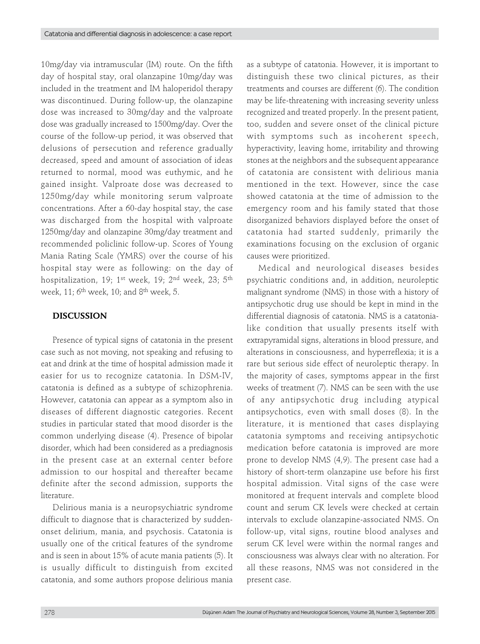10mg/day via intramuscular (IM) route. On the fifth day of hospital stay, oral olanzapine 10mg/day was included in the treatment and IM haloperidol therapy was discontinued. During follow-up, the olanzapine dose was increased to 30mg/day and the valproate dose was gradually increased to 1500mg/day. Over the course of the follow-up period, it was observed that delusions of persecution and reference gradually decreased, speed and amount of association of ideas returned to normal, mood was euthymic, and he gained insight. Valproate dose was decreased to 1250mg/day while monitoring serum valproate concentrations. After a 60-day hospital stay, the case was discharged from the hospital with valproate 1250mg/day and olanzapine 30mg/day treatment and recommended policlinic follow-up. Scores of Young Mania Rating Scale (YMRS) over the course of his hospital stay were as following: on the day of hospitalization, 19;  $1^{st}$  week, 19;  $2^{nd}$  week,  $23$ ;  $5^{th}$ week, 11;  $6<sup>th</sup>$  week, 10; and  $8<sup>th</sup>$  week, 5.

## **DISCUSSION**

Presence of typical signs of catatonia in the present case such as not moving, not speaking and refusing to eat and drink at the time of hospital admission made it easier for us to recognize catatonia. In DSM-IV, catatonia is defined as a subtype of schizophrenia. However, catatonia can appear as a symptom also in diseases of different diagnostic categories. Recent studies in particular stated that mood disorder is the common underlying disease (4). Presence of bipolar disorder, which had been considered as a prediagnosis in the present case at an external center before admission to our hospital and thereafter became definite after the second admission, supports the literature.

Delirious mania is a neuropsychiatric syndrome difficult to diagnose that is characterized by suddenonset delirium, mania, and psychosis. Catatonia is usually one of the critical features of the syndrome and is seen in about 15% of acute mania patients (5). It is usually difficult to distinguish from excited catatonia, and some authors propose delirious mania

as a subtype of catatonia. However, it is important to distinguish these two clinical pictures, as their treatments and courses are different (6). The condition may be life-threatening with increasing severity unless recognized and treated properly. In the present patient, too, sudden and severe onset of the clinical picture with symptoms such as incoherent speech, hyperactivity, leaving home, irritability and throwing stones at the neighbors and the subsequent appearance of catatonia are consistent with delirious mania mentioned in the text. However, since the case showed catatonia at the time of admission to the emergency room and his family stated that those disorganized behaviors displayed before the onset of catatonia had started suddenly, primarily the examinations focusing on the exclusion of organic causes were prioritized.

Medical and neurological diseases besides psychiatric conditions and, in addition, neuroleptic malignant syndrome (NMS) in those with a history of antipsychotic drug use should be kept in mind in the differential diagnosis of catatonia. NMS is a catatonialike condition that usually presents itself with extrapyramidal signs, alterations in blood pressure, and alterations in consciousness, and hyperreflexia; it is a rare but serious side effect of neuroleptic therapy. In the majority of cases, symptoms appear in the first weeks of treatment (7). NMS can be seen with the use of any antipsychotic drug including atypical antipsychotics, even with small doses (8). In the literature, it is mentioned that cases displaying catatonia symptoms and receiving antipsychotic medication before catatonia is improved are more prone to develop NMS (4,9). The present case had a history of short-term olanzapine use before his first hospital admission. Vital signs of the case were monitored at frequent intervals and complete blood count and serum CK levels were checked at certain intervals to exclude olanzapine-associated NMS. On follow-up, vital signs, routine blood analyses and serum CK level were within the normal ranges and consciousness was always clear with no alteration. For all these reasons, NMS was not considered in the present case.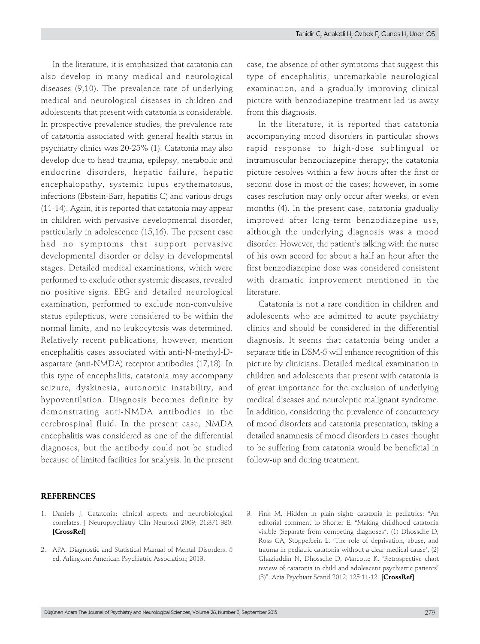In the literature, it is emphasized that catatonia can also develop in many medical and neurological diseases (9,10). The prevalence rate of underlying medical and neurological diseases in children and adolescents that present with catatonia is considerable. In prospective prevalence studies, the prevalence rate of catatonia associated with general health status in psychiatry clinics was 20-25% (1). Catatonia may also develop due to head trauma, epilepsy, metabolic and endocrine disorders, hepatic failure, hepatic encephalopathy, systemic lupus erythematosus, infections (Ebstein-Barr, hepatitis C) and various drugs (11-14). Again, it is reported that catatonia may appear in children with pervasive developmental disorder, particularly in adolescence (15,16). The present case had no symptoms that support pervasive developmental disorder or delay in developmental stages. Detailed medical examinations, which were performed to exclude other systemic diseases, revealed no positive signs. EEG and detailed neurological examination, performed to exclude non-convulsive status epilepticus, were considered to be within the normal limits, and no leukocytosis was determined. Relatively recent publications, however, mention encephalitis cases associated with anti-N-methyl-Daspartate (anti-NMDA) receptor antibodies (17,18). In this type of encephalitis, catatonia may accompany seizure, dyskinesia, autonomic instability, and hypoventilation. Diagnosis becomes definite by demonstrating anti-NMDA antibodies in the cerebrospinal fluid. In the present case, NMDA encephalitis was considered as one of the differential diagnoses, but the antibody could not be studied because of limited facilities for analysis. In the present

# case, the absence of other symptoms that suggest this type of encephalitis, unremarkable neurological examination, and a gradually improving clinical picture with benzodiazepine treatment led us away from this diagnosis.

In the literature, it is reported that catatonia accompanying mood disorders in particular shows rapid response to high-dose sublingual or intramuscular benzodiazepine therapy; the catatonia picture resolves within a few hours after the first or second dose in most of the cases; however, in some cases resolution may only occur after weeks, or even months (4). In the present case, catatonia gradually improved after long-term benzodiazepine use, although the underlying diagnosis was a mood disorder. However, the patient's talking with the nurse of his own accord for about a half an hour after the first benzodiazepine dose was considered consistent with dramatic improvement mentioned in the literature.

Catatonia is not a rare condition in children and adolescents who are admitted to acute psychiatry clinics and should be considered in the differential diagnosis. It seems that catatonia being under a separate title in DSM-5 will enhance recognition of this picture by clinicians. Detailed medical examination in children and adolescents that present with catatonia is of great importance for the exclusion of underlying medical diseases and neuroleptic malignant syndrome. In addition, considering the prevalence of concurrency of mood disorders and catatonia presentation, taking a detailed anamnesis of mood disorders in cases thought to be suffering from catatonia would be beneficial in follow-up and during treatment.

### **REFERENCES**

- 1. Daniels J. Catatonia: clinical aspects and neurobiological correlates. J Neuropsychiatry Clin Neurosci 2009; 21:371-380. **[\[CrossRef\]](http://dx.doi.org/10.1176/jnp.2009.21.4.371)**
- 2. APA. Diagnostic and Statistical Manual of Mental Disorders. 5 ed. Arlington: American Psychiatric Association; 2013.
- 3. Fink M. Hidden in plain sight: catatonia in pediatrics: "An editorial comment to Shorter E. "Making childhood catatonia visible (Separate from competing diagnoses", (1) Dhossche D, Ross CA, Stoppelbein L. 'The role of deprivation, abuse, and trauma in pediatric catatonia without a clear medical cause', (2) Ghaziuddin N, Dhossche D, Marcotte K. 'Retrospective chart review of catatonia in child and adolescent psychiatric patients' (3)". Acta Psychiatr Scand 2012; 125:11-12. **[\[CrossRef\]](http://dx.doi.org/10.1111/j.1600-0447.2011.01771.x)**